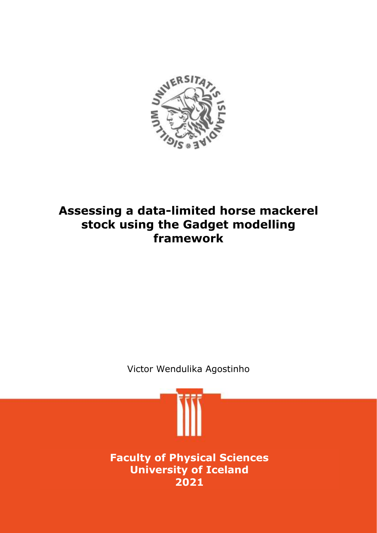

## **Assessing a data-limited horse mackerel stock using the Gadget modelling framework**

Victor Wendulika Agostinho

**Faculty of Physical Sciences University of Iceland 2021**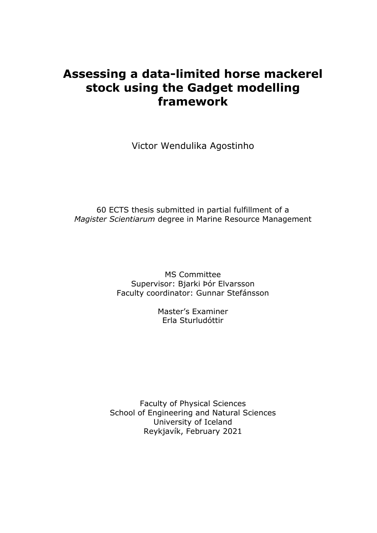## **Assessing a data-limited horse mackerel stock using the Gadget modelling framework**

Victor Wendulika Agostinho

60 ECTS thesis submitted in partial fulfillment of a *Magister Scientiarum* degree in Marine Resource Management

> MS Committee Supervisor: Bjarki Þór Elvarsson Faculty coordinator: Gunnar Stefánsson

> > Master's Examiner Erla Sturludóttir

Faculty of Physical Sciences School of Engineering and Natural Sciences University of Iceland Reykjavík, February 2021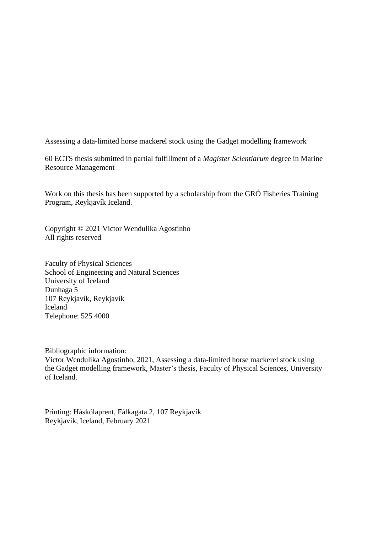Assessing a data-limited horse mackerel stock using the Gadget modelling framework

60 ECTS thesis submitted in partial fulfillment of a *Magister Scientiarum* degree in Marine Resource Management

Work on this thesis has been supported by a scholarship from the GRÓ Fisheries Training Program, Reykjavík Iceland.

Copyright © 2021 Victor Wendulika Agostinho All rights reserved

Faculty of Physical Sciences School of Engineering and Natural Sciences University of Iceland Dunhaga 5 107 Reykjavík, Reykjavík Iceland Telephone: 525 4000

Bibliographic information:

Victor Wendulika Agostinho, 2021, Assessing a data-limited horse mackerel stock using the Gadget modelling framework, Master's thesis, Faculty of Physical Sciences, University of Iceland.

Printing: Háskólaprent, Fálkagata 2, 107 Reykjavík Reykjavik, Iceland, February 2021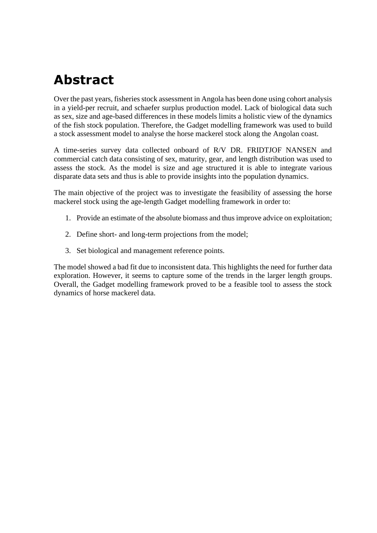# **Abstract**

Over the past years, fisheries stock assessment in Angola has been done using cohort analysis in a yield-per recruit, and schaefer surplus production model. Lack of biological data such as sex, size and age-based differences in these models limits a holistic view of the dynamics of the fish stock population. Therefore, the Gadget modelling framework was used to build a stock assessment model to analyse the horse mackerel stock along the Angolan coast.

A time-series survey data collected onboard of R/V DR. FRIDTJOF NANSEN and commercial catch data consisting of sex, maturity, gear, and length distribution was used to assess the stock. As the model is size and age structured it is able to integrate various disparate data sets and thus is able to provide insights into the population dynamics.

The main objective of the project was to investigate the feasibility of assessing the horse mackerel stock using the age-length Gadget modelling framework in order to:

- 1. Provide an estimate of the absolute biomass and thus improve advice on exploitation;
- 2. Define short- and long-term projections from the model;
- 3. Set biological and management reference points.

The model showed a bad fit due to inconsistent data. This highlights the need for further data exploration. However, it seems to capture some of the trends in the larger length groups. Overall, the Gadget modelling framework proved to be a feasible tool to assess the stock dynamics of horse mackerel data.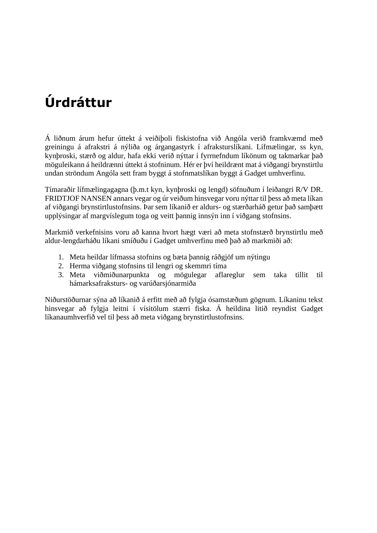# **Úrdráttur**

Á liðnum árum hefur úttekt á veiðiþoli fiskistofna við Angóla verið framkvæmd með greiningu á afrakstri á nýliða og árgangastyrk í afraksturslíkani. Lífmælingar, ss kyn, kynþroski, stærð og aldur, hafa ekki verið nýttar í fyrrnefndum líkönum og takmarkar það möguleikann á heildrænni úttekt á stofninum. Hér er því heildrænt mat á viðgangi brynstirtlu undan ströndum Angóla sett fram byggt á stofnmatslíkan byggt á Gadget umhverfinu.

Tímaraðir lífmælingagagna (þ.m.t kyn, kynþroski og lengd) söfnuðum í leiðangri R/V DR. FRIDTJOF NANSEN annars vegar og úr veiðum hinsvegar voru nýttar til þess að meta líkan af viðgangi brynstirtlustofnsins. Þar sem líkanið er aldurs- og stærðarháð getur það samþætt upplýsingar af margvíslegum toga og veitt þannig innsýn inn í viðgang stofnsins.

Markmið verkefnisins voru að kanna hvort hægt væri að meta stofnstærð brynstirtlu með aldur-lengdarháðu líkani smíðuðu í Gadget umhverfinu með það að markmiði að:

- 1. Meta heildar lífmassa stofnins og bæta þannig ráðgjöf um nýtingu
- 2. Herma viðgang stofnsins til lengri og skemmri tíma
- 3. Meta viðmiðunarpunkta og mögulegar aflareglur sem taka tillit til hámarksafraksturs- og varúðarsjónarmiða

Niðurstöðurnar sýna að líkanið á erfitt með að fylgja ósamstæðum gögnum. Líkaninu tekst hinsvegar að fylgja leitni í vísitölum stærri fiska. Á heildina litið reyndist Gadget líkanaumhverfið vel til þess að meta viðgang brynstirtlustofnsins.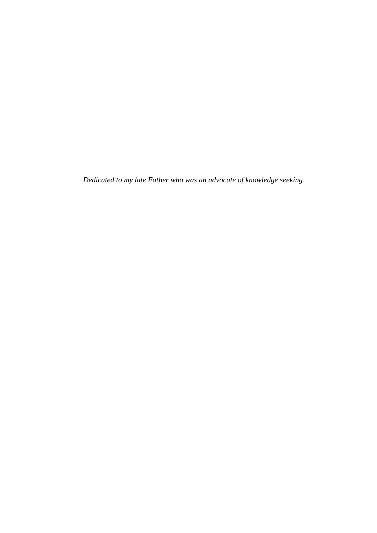*Dedicated to my late Father who was an advocate of knowledge seeking*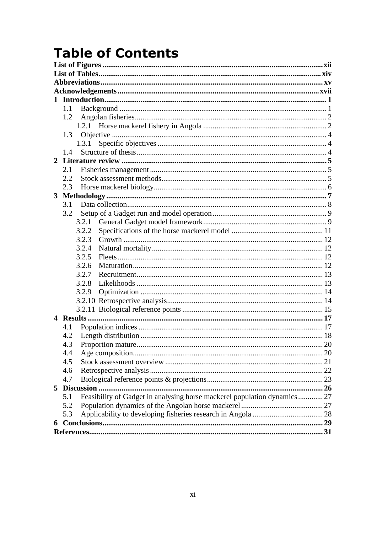# **Table of Contents**

| $\mathbf{1}$ |                                                                                 |  |
|--------------|---------------------------------------------------------------------------------|--|
|              | 1.1                                                                             |  |
|              | 1.2                                                                             |  |
|              |                                                                                 |  |
|              | 1.3                                                                             |  |
|              | 1.3.1                                                                           |  |
|              | 14                                                                              |  |
|              |                                                                                 |  |
|              | 2.1                                                                             |  |
|              | 2.2                                                                             |  |
|              | 2.3                                                                             |  |
|              |                                                                                 |  |
|              | 3.1                                                                             |  |
|              | 3.2                                                                             |  |
|              | 3.2.1<br>3.2.2                                                                  |  |
|              | 3.2.3                                                                           |  |
|              | 3.2.4                                                                           |  |
|              | 3.2.5                                                                           |  |
|              | 3.2.6                                                                           |  |
|              | 3.2.7                                                                           |  |
|              | 3.2.8                                                                           |  |
|              | 3.2.9                                                                           |  |
|              |                                                                                 |  |
|              |                                                                                 |  |
|              |                                                                                 |  |
|              | 4.1                                                                             |  |
|              | 4.2                                                                             |  |
|              | 4.3                                                                             |  |
|              | 4.4                                                                             |  |
|              | 4.5                                                                             |  |
|              | 4.6                                                                             |  |
|              | 4.7                                                                             |  |
|              |                                                                                 |  |
|              | Feasibility of Gadget in analysing horse mackerel population dynamics 27<br>5.1 |  |
|              | 5.2                                                                             |  |
|              | 5.3                                                                             |  |
|              |                                                                                 |  |
|              |                                                                                 |  |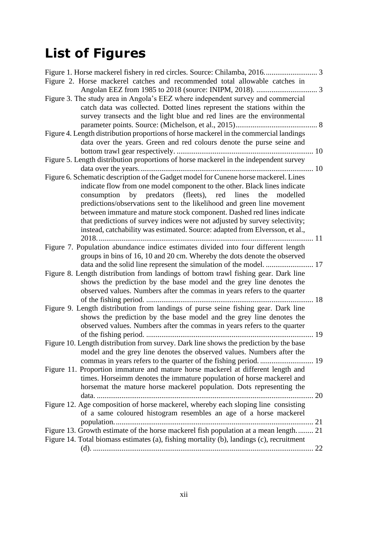# <span id="page-13-0"></span>**List of Figures**

| Figure 2. Horse mackerel catches and recommended total allowable catches in                                                                                                                                                                                                                                                                                                                                                                                                                                                                              |  |
|----------------------------------------------------------------------------------------------------------------------------------------------------------------------------------------------------------------------------------------------------------------------------------------------------------------------------------------------------------------------------------------------------------------------------------------------------------------------------------------------------------------------------------------------------------|--|
|                                                                                                                                                                                                                                                                                                                                                                                                                                                                                                                                                          |  |
| Figure 3. The study area in Angola's EEZ where independent survey and commercial                                                                                                                                                                                                                                                                                                                                                                                                                                                                         |  |
| catch data was collected. Dotted lines represent the stations within the                                                                                                                                                                                                                                                                                                                                                                                                                                                                                 |  |
| survey transects and the light blue and red lines are the environmental                                                                                                                                                                                                                                                                                                                                                                                                                                                                                  |  |
|                                                                                                                                                                                                                                                                                                                                                                                                                                                                                                                                                          |  |
| Figure 4. Length distribution proportions of horse mackerel in the commercial landings                                                                                                                                                                                                                                                                                                                                                                                                                                                                   |  |
| data over the years. Green and red colours denote the purse seine and                                                                                                                                                                                                                                                                                                                                                                                                                                                                                    |  |
|                                                                                                                                                                                                                                                                                                                                                                                                                                                                                                                                                          |  |
| Figure 5. Length distribution proportions of horse mackerel in the independent survey                                                                                                                                                                                                                                                                                                                                                                                                                                                                    |  |
|                                                                                                                                                                                                                                                                                                                                                                                                                                                                                                                                                          |  |
| Figure 6. Schematic description of the Gadget model for Cunene horse mackerel. Lines<br>indicate flow from one model component to the other. Black lines indicate<br>consumption by predators (fleets), red lines<br>the<br>modelled<br>predictions/observations sent to the likelihood and green line movement<br>between immature and mature stock component. Dashed red lines indicate<br>that predictions of survey indices were not adjusted by survey selectivity;<br>instead, catchability was estimated. Source: adapted from Elversson, et al., |  |
| Figure 7. Population abundance indice estimates divided into four different length                                                                                                                                                                                                                                                                                                                                                                                                                                                                       |  |
| groups in bins of 16, 10 and 20 cm. Whereby the dots denote the observed<br>data and the solid line represent the simulation of the model.  17                                                                                                                                                                                                                                                                                                                                                                                                           |  |
| Figure 8. Length distribution from landings of bottom trawl fishing gear. Dark line<br>shows the prediction by the base model and the grey line denotes the<br>observed values. Numbers after the commas in years refers to the quarter                                                                                                                                                                                                                                                                                                                  |  |
| Figure 9. Length distribution from landings of purse seine fishing gear. Dark line<br>shows the prediction by the base model and the grey line denotes the<br>observed values. Numbers after the commas in years refers to the quarter                                                                                                                                                                                                                                                                                                                   |  |
| Figure 10. Length distribution from survey. Dark line shows the prediction by the base                                                                                                                                                                                                                                                                                                                                                                                                                                                                   |  |
| model and the grey line denotes the observed values. Numbers after the                                                                                                                                                                                                                                                                                                                                                                                                                                                                                   |  |
| Figure 11. Proportion immature and mature horse mackerel at different length and                                                                                                                                                                                                                                                                                                                                                                                                                                                                         |  |
| times. Horseimm denotes the immature population of horse mackerel and<br>horsemat the mature horse mackerel population. Dots representing the                                                                                                                                                                                                                                                                                                                                                                                                            |  |
| Figure 12. Age composition of horse mackerel, whereby each sloping line consisting<br>of a same coloured histogram resembles an age of a horse mackerel                                                                                                                                                                                                                                                                                                                                                                                                  |  |
| Figure 13. Growth estimate of the horse mackerel fish population at a mean length 21                                                                                                                                                                                                                                                                                                                                                                                                                                                                     |  |
| Figure 14. Total biomass estimates (a), fishing mortality (b), landings (c), recruitment                                                                                                                                                                                                                                                                                                                                                                                                                                                                 |  |
|                                                                                                                                                                                                                                                                                                                                                                                                                                                                                                                                                          |  |
|                                                                                                                                                                                                                                                                                                                                                                                                                                                                                                                                                          |  |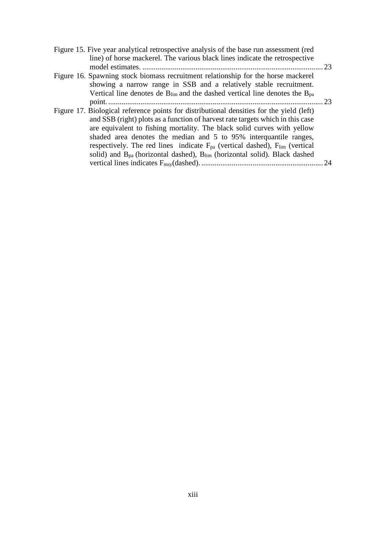| Figure 15. Five year analytical retrospective analysis of the base run assessment (red   |      |
|------------------------------------------------------------------------------------------|------|
| line) of horse mackerel. The various black lines indicate the retrospective              |      |
|                                                                                          | . 23 |
| Figure 16. Spawning stock biomass recruitment relationship for the horse mackerel        |      |
| showing a narrow range in SSB and a relatively stable recruitment.                       |      |
| Vertical line denotes de $B_{lim}$ and the dashed vertical line denotes the $B_{pa}$     |      |
|                                                                                          | 23   |
| Figure 17. Biological reference points for distributional densities for the yield (left) |      |
| and SSB (right) plots as a function of harvest rate targets which in this case           |      |
| are equivalent to fishing mortality. The black solid curves with yellow                  |      |
| shaded area denotes the median and 5 to 95% interquantile ranges,                        |      |
| respectively. The red lines indicate $F_{pa}$ (vertical dashed), $F_{lim}$ (vertical     |      |
| solid) and $B_{pa}$ (horizontal dashed), $B_{lim}$ (horizontal solid). Black dashed      |      |
|                                                                                          | 24   |
|                                                                                          |      |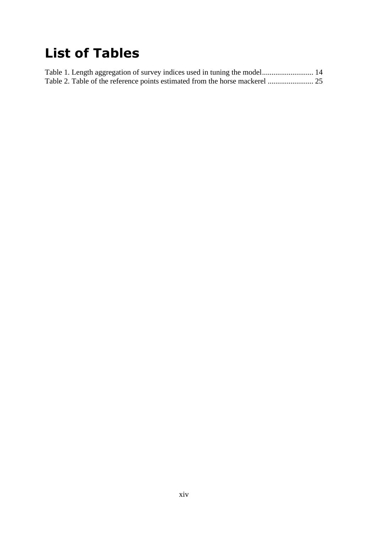# <span id="page-15-0"></span>**List of Tables**

|  |  | Table 1. Length aggregation of survey indices used in tuning the model 14 |  |
|--|--|---------------------------------------------------------------------------|--|
|  |  |                                                                           |  |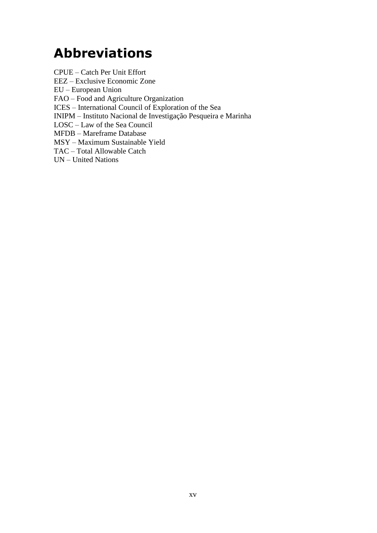# <span id="page-16-0"></span>**Abbreviations**

CPUE – Catch Per Unit Effort EEZ – Exclusive Economic Zone EU – European Union FAO – Food and Agriculture Organization ICES – International Council of Exploration of the Sea INIPM – Instituto Nacional de Investigação Pesqueira e Marinha LOSC – Law of the Sea Council MFDB – Mareframe Database MSY – Maximum Sustainable Yield TAC – Total Allowable Catch UN – United Nations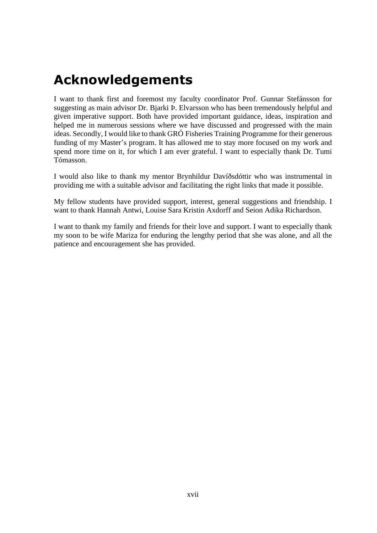# <span id="page-18-0"></span>**Acknowledgements**

I want to thank first and foremost my faculty coordinator Prof. Gunnar Stefánsson for suggesting as main advisor Dr. Bjarki Þ. Elvarsson who has been tremendously helpful and given imperative support. Both have provided important guidance, ideas, inspiration and helped me in numerous sessions where we have discussed and progressed with the main ideas. Secondly, I would like to thank GRÓ Fisheries Training Programme for their generous funding of my Master's program. It has allowed me to stay more focused on my work and spend more time on it, for which I am ever grateful. I want to especially thank Dr. Tumi Tómasson.

I would also like to thank my mentor Brynhildur Davíðsdóttir who was instrumental in providing me with a suitable advisor and facilitating the right links that made it possible.

My fellow students have provided support, interest, general suggestions and friendship. I want to thank Hannah Antwi, Louise Sara Kristin Axdorff and Seion Adika Richardson.

I want to thank my family and friends for their love and support. I want to especially thank my soon to be wife Mariza for enduring the lengthy period that she was alone, and all the patience and encouragement she has provided.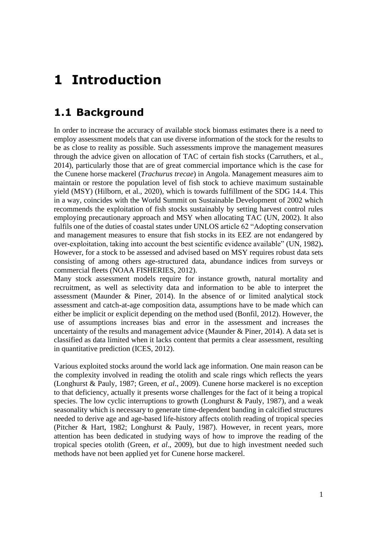## <span id="page-20-0"></span>**1 Introduction**

### <span id="page-20-1"></span>**1.1 Background**

In order to increase the accuracy of available stock biomass estimates there is a need to employ assessment models that can use diverse information of the stock for the results to be as close to reality as possible. Such assessments improve the management measures through the advice given on allocation of TAC of certain fish stocks (Carruthers, et al., 2014), particularly those that are of great commercial importance which is the case for the Cunene horse mackerel (*Trachurus trecae*) in Angola. Management measures aim to maintain or restore the population level of fish stock to achieve maximum sustainable yield (MSY) (Hilborn, et al., 2020), which is towards fulfillment of the SDG 14.4. This in a way, coincides with the World Summit on Sustainable Development of 2002 which recommends the exploitation of fish stocks sustainably by setting harvest control rules employing precautionary approach and MSY when allocating TAC (UN, 2002). It also fulfils one of the duties of coastal states under UNLOS article 62 "Adopting conservation and management measures to ensure that fish stocks in its EEZ are not endangered by over-exploitation, taking into account the best scientific evidence available" (UN, 1982)**.** However, for a stock to be assessed and advised based on MSY requires robust data sets consisting of among others age-structured data, abundance indices from surveys or commercial fleets (NOAA FISHERIES, 2012).

Many stock assessment models require for instance growth, natural mortality and recruitment, as well as selectivity data and information to be able to interpret the assessment (Maunder & Piner, 2014). In the absence of or limited analytical stock assessment and catch-at-age composition data, assumptions have to be made which can either be implicit or explicit depending on the method used (Bonfil, 2012). However, the use of assumptions increases bias and error in the assessment and increases the uncertainty of the results and management advice (Maunder & Piner, 2014). A data set is classified as data limited when it lacks content that permits a clear assessment, resulting in quantitative prediction (ICES, 2012).

Various exploited stocks around the world lack age information. One main reason can be the complexity involved in reading the otolith and scale rings which reflects the years (Longhurst & Pauly, 1987; Green, *et al*., 2009). Cunene horse mackerel is no exception to that deficiency, actually it presents worse challenges for the fact of it being a tropical species. The low cyclic interruptions to growth (Longhurst & Pauly, 1987), and a weak seasonality which is necessary to generate time-dependent banding in calcified structures needed to derive age and age-based life-history affects otolith reading of tropical species (Pitcher & Hart, 1982; Longhurst & Pauly, 1987). However, in recent years, more attention has been dedicated in studying ways of how to improve the reading of the tropical species otolith (Green, *et al*., 2009), but due to high investment needed such methods have not been applied yet for Cunene horse mackerel.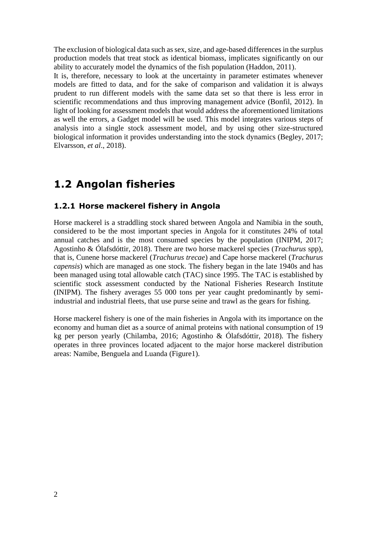The exclusion of biological data such as sex, size, and age-based differences in the surplus production models that treat stock as identical biomass, implicates significantly on our ability to accurately model the dynamics of the fish population (Haddon, 2011).

It is, therefore, necessary to look at the uncertainty in parameter estimates whenever models are fitted to data, and for the sake of comparison and validation it is always prudent to run different models with the same data set so that there is less error in scientific recommendations and thus improving management advice (Bonfil, 2012). In light of looking for assessment models that would address the aforementioned limitations as well the errors, a Gadget model will be used. This model integrates various steps of analysis into a single stock assessment model, and by using other size-structured biological information it provides understanding into the stock dynamics (Begley, 2017; Elvarsson, *et al*., 2018).

### <span id="page-21-0"></span>**1.2 Angolan fisheries**

#### <span id="page-21-1"></span>**1.2.1 Horse mackerel fishery in Angola**

Horse mackerel is a straddling stock shared between Angola and Namibia in the south, considered to be the most important species in Angola for it constitutes 24% of total annual catches and is the most consumed species by the population (INIPM, 2017; Agostinho & Ólafsdóttir, 2018). There are two horse mackerel species (*Trachurus* spp), that is, Cunene horse mackerel (*Trachurus trecae*) and Cape horse mackerel (*Trachurus capensis*) which are managed as one stock. The fishery began in the late 1940s and has been managed using total allowable catch (TAC) since 1995. The TAC is established by scientific stock assessment conducted by the National Fisheries Research Institute (INIPM). The fishery averages 55 000 tons per year caught predominantly by semiindustrial and industrial fleets, that use purse seine and trawl as the gears for fishing.

Horse mackerel fishery is one of the main fisheries in Angola with its importance on the economy and human diet as a source of animal proteins with national consumption of 19 kg per person yearly (Chilamba, 2016; Agostinho & Ólafsdóttir, 2018). The fishery operates in three provinces located adjacent to the major horse mackerel distribution areas: Namibe, Benguela and Luanda (Figure1).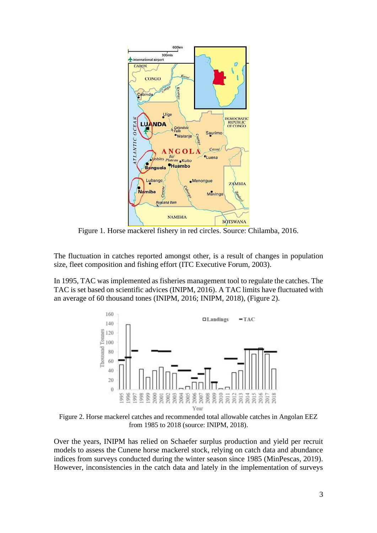

Figure 1*.* Horse mackerel fishery in red circles. Source: Chilamba, 2016.

The fluctuation in catches reported amongst other, is a result of changes in population size, fleet composition and fishing effort (ITC Executive Forum, 2003).

In 1995, TAC was implemented as fisheries management tool to regulate the catches. The TAC is set based on scientific advices (INIPM, 2016). A TAC limits have fluctuated with an average of 60 thousand tones (INIPM, 2016; INIPM, 2018), (Figure 2).



Figure 2. Horse mackerel catches and recommended total allowable catches in Angolan EEZ from 1985 to 2018 (source: INIPM, 2018).

Over the years, INIPM has relied on Schaefer surplus production and yield per recruit models to assess the Cunene horse mackerel stock, relying on catch data and abundance indices from surveys conducted during the winter season since 1985 (MinPescas, 2019). However, inconsistencies in the catch data and lately in the implementation of surveys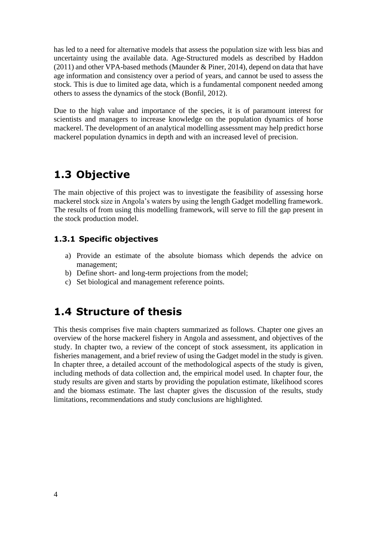has led to a need for alternative models that assess the population size with less bias and uncertainty using the available data. Age-Structured models as described by Haddon (2011) and other VPA-based methods (Maunder & Piner, 2014), depend on data that have age information and consistency over a period of years, and cannot be used to assess the stock. This is due to limited age data, which is a fundamental component needed among others to assess the dynamics of the stock (Bonfil, 2012).

Due to the high value and importance of the species, it is of paramount interest for scientists and managers to increase knowledge on the population dynamics of horse mackerel. The development of an analytical modelling assessment may help predict horse mackerel population dynamics in depth and with an increased level of precision.

### <span id="page-23-0"></span>**1.3 Objective**

The main objective of this project was to investigate the feasibility of assessing horse mackerel stock size in Angola's waters by using the length Gadget modelling framework. The results of from using this modelling framework, will serve to fill the gap present in the stock production model.

#### <span id="page-23-1"></span>**1.3.1 Specific objectives**

- a) Provide an estimate of the absolute biomass which depends the advice on management;
- b) Define short- and long-term projections from the model;
- <span id="page-23-2"></span>c) Set biological and management reference points.

### **1.4 Structure of thesis**

This thesis comprises five main chapters summarized as follows. Chapter one gives an overview of the horse mackerel fishery in Angola and assessment, and objectives of the study. In chapter two, a review of the concept of stock assessment, its application in fisheries management, and a brief review of using the Gadget model in the study is given. In chapter three, a detailed account of the methodological aspects of the study is given, including methods of data collection and, the empirical model used. In chapter four, the study results are given and starts by providing the population estimate, likelihood scores and the biomass estimate. The last chapter gives the discussion of the results, study limitations, recommendations and study conclusions are highlighted.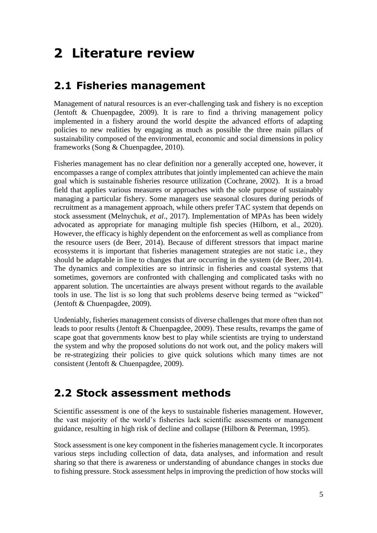# <span id="page-24-0"></span>**2 Literature review**

## <span id="page-24-1"></span>**2.1 Fisheries management**

Management of natural resources is an ever-challenging task and fishery is no exception (Jentoft & Chuenpagdee, 2009). It is rare to find a thriving management policy implemented in a fishery around the world despite the advanced efforts of adapting policies to new realities by engaging as much as possible the three main pillars of sustainability composed of the environmental, economic and social dimensions in policy frameworks (Song & Chuenpagdee, 2010).

Fisheries management has no clear definition nor a generally accepted one, however, it encompasses a range of complex attributes that jointly implemented can achieve the main goal which is sustainable fisheries resource utilization (Cochrane, 2002). It is a broad field that applies various measures or approaches with the sole purpose of sustainably managing a particular fishery. Some managers use seasonal closures during periods of recruitment as a management approach, while others prefer TAC system that depends on stock assessment (Melnychuk, *et al*., 2017). Implementation of MPAs has been widely advocated as appropriate for managing multiple fish species (Hilborn, et al., 2020). However, the efficacy is highly dependent on the enforcement as well as compliance from the resource users (de Beer, 2014). Because of different stressors that impact marine ecosystems it is important that fisheries management strategies are not static i.e., they should be adaptable in line to changes that are occurring in the system (de Beer, 2014). The dynamics and complexities are so intrinsic in fisheries and coastal systems that sometimes, governors are confronted with challenging and complicated tasks with no apparent solution. The uncertainties are always present without regards to the available tools in use. The list is so long that such problems deserve being termed as "wicked" (Jentoft & Chuenpagdee, 2009).

Undeniably, fisheries management consists of diverse challenges that more often than not leads to poor results (Jentoft & Chuenpagdee, 2009). These results, revamps the game of scape goat that governments know best to play while scientists are trying to understand the system and why the proposed solutions do not work out, and the policy makers will be re-strategizing their policies to give quick solutions which many times are not consistent (Jentoft & Chuenpagdee, 2009).

### <span id="page-24-2"></span>**2.2 Stock assessment methods**

Scientific assessment is one of the keys to sustainable fisheries management. However, the vast majority of the world's fisheries lack scientific assessments or management guidance, resulting in high risk of decline and collapse (Hilborn & Peterman, 1995).

Stock assessment is one key component in the fisheries management cycle. It incorporates various steps including collection of data, data analyses, and information and result sharing so that there is awareness or understanding of abundance changes in stocks due to fishing pressure. Stock assessment helps in improving the prediction of how stocks will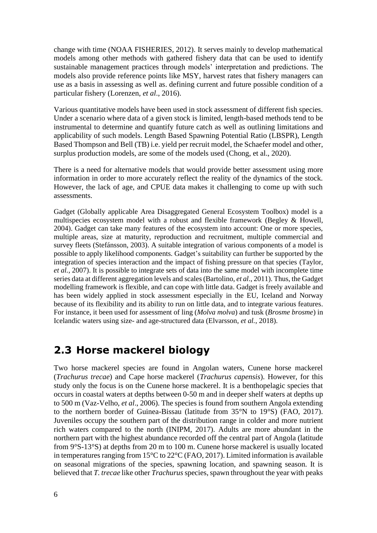change with time (NOAA FISHERIES, 2012). It serves mainly to develop mathematical models among other methods with gathered fishery data that can be used to identify sustainable management practices through models' interpretation and predictions. The models also provide reference points like MSY, harvest rates that fishery managers can use as a basis in assessing as well as. defining current and future possible condition of a particular fishery (Lorenzen, *et al*., 2016).

Various quantitative models have been used in stock assessment of different fish species. Under a scenario where data of a given stock is limited, length-based methods tend to be instrumental to determine and quantify future catch as well as outlining limitations and applicability of such models. Length Based Spawning Potential Ratio (LBSPR), Length Based Thompson and Bell (TB) i.e. yield per recruit model, the Schaefer model and other, surplus production models, are some of the models used (Chong, et al., 2020).

There is a need for alternative models that would provide better assessment using more information in order to more accurately reflect the reality of the dynamics of the stock. However, the lack of age, and CPUE data makes it challenging to come up with such assessments.

Gadget (Globally applicable Area Disaggregated General Ecosystem Toolbox) model is a multispecies ecosystem model with a robust and flexible framework (Begley & Howell, 2004). Gadget can take many features of the ecosystem into account: One or more species, multiple areas, size at maturity, reproduction and recruitment, multiple commercial and survey fleets (Stefánsson, 2003). A suitable integration of various components of a model is possible to apply likelihood components. Gadget's suitability can further be supported by the integration of species interaction and the impact of fishing pressure on that species (Taylor, *et al.*, 2007). It is possible to integrate sets of data into the same model with incomplete time series data at different aggregation levels and scales (Bartolino, *et al*., 2011). Thus, the Gadget modelling framework is flexible, and can cope with little data. Gadget is freely available and has been widely applied in stock assessment especially in the EU, Iceland and Norway because of its flexibility and its ability to run on little data, and to integrate various features. For instance, it been used for assessment of ling (*Molva molva*) and tusk (*Brosme brosme*) in Icelandic waters using size- and age-structured data (Elvarsson, *et al.*, 2018).

### <span id="page-25-0"></span>**2.3 Horse mackerel biology**

Two horse mackerel species are found in Angolan waters, Cunene horse mackerel (*Trachurus trecae*) and Cape horse mackerel (*Trachurus capensis*). However, for this study only the focus is on the Cunene horse mackerel. It is a benthopelagic species that occurs in coastal waters at depths between 0-50 m and in deeper shelf waters at depths up to 500 m (Vaz-Velho, *et al*., 2006). The species is found from southern Angola extending to the northern border of Guinea-Bissau (latitude from 35°N to 19°S) (FAO, 2017). Juveniles occupy the southern part of the distribution range in colder and more nutrient rich waters compared to the north (INIPM, 2017). Adults are more abundant in the northern part with the highest abundance recorded off the central part of Angola (latitude from 9°S-13°S) at depths from 20 m to 100 m. Cunene horse mackerel is usually located in temperatures ranging from 15°C to 22°C (FAO, 2017). Limited information is available on seasonal migrations of the species, spawning location, and spawning season. It is believed that *T. trecae* like other *Trachurus* species, spawn throughout the year with peaks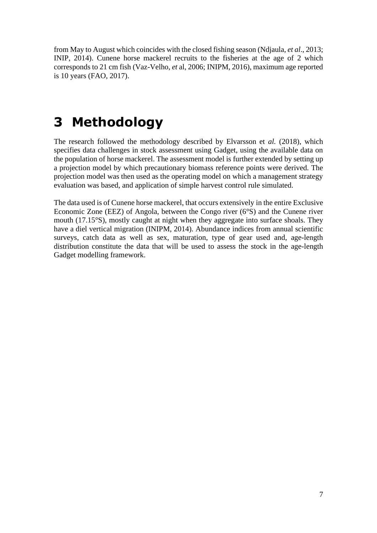from May to August which coincides with the closed fishing season (Ndjaula, *et al*., 2013; INIP, 2014). Cunene horse mackerel recruits to the fisheries at the age of 2 which corresponds to 21 cm fish (Vaz-Velho, *et* al, 2006; INIPM, 2016), maximum age reported is 10 years (FAO, 2017).

# <span id="page-26-0"></span>**3 Methodology**

The research followed the methodology described by Elvarsson et *al.* (2018), which specifies data challenges in stock assessment using Gadget, using the available data on the population of horse mackerel. The assessment model is further extended by setting up a projection model by which precautionary biomass reference points were derived. The projection model was then used as the operating model on which a management strategy evaluation was based, and application of simple harvest control rule simulated.

The data used is of Cunene horse mackerel, that occurs extensively in the entire Exclusive Economic Zone (EEZ) of Angola, between the Congo river (6°S) and the Cunene river mouth (17.15°S), mostly caught at night when they aggregate into surface shoals. They have a diel vertical migration (INIPM, 2014). Abundance indices from annual scientific surveys, catch data as well as sex, maturation, type of gear used and, age-length distribution constitute the data that will be used to assess the stock in the age-length Gadget modelling framework.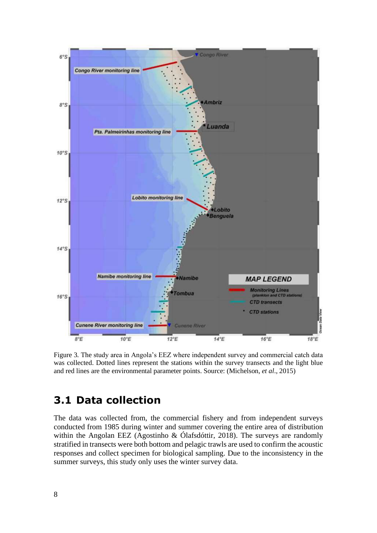

Figure 3*.* The study area in Angola's EEZ where independent survey and commercial catch data was collected. Dotted lines represent the stations within the survey transects and the light blue and red lines are the environmental parameter points. Source: (Michelson, *et al*., 2015)

### <span id="page-27-0"></span>**3.1 Data collection**

The data was collected from, the commercial fishery and from independent surveys conducted from 1985 during winter and summer covering the entire area of distribution within the Angolan EEZ (Agostinho & Ólafsdóttir, 2018). The surveys are randomly stratified in transects were both bottom and pelagic trawls are used to confirm the acoustic responses and collect specimen for biological sampling. Due to the inconsistency in the summer surveys, this study only uses the winter survey data.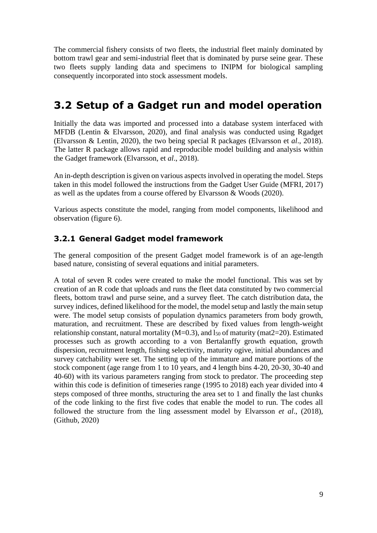The commercial fishery consists of two fleets, the industrial fleet mainly dominated by bottom trawl gear and semi-industrial fleet that is dominated by purse seine gear. These two fleets supply landing data and specimens to INIPM for biological sampling consequently incorporated into stock assessment models.

## <span id="page-28-0"></span>**3.2 Setup of a Gadget run and model operation**

Initially the data was imported and processed into a database system interfaced with MFDB (Lentin & Elvarsson, 2020), and final analysis was conducted using Rgadget (Elvarsson & Lentin, 2020), the two being special R packages (Elvarsson et *al*., 2018). The latter R package allows rapid and reproducible model building and analysis within the Gadget framework (Elvarsson, et *al*., 2018).

An in-depth description is given on various aspects involved in operating the model. Steps taken in this model followed the instructions from the Gadget User Guide (MFRI, 2017) as well as the updates from a course offered by Elvarsson & Woods (2020).

Various aspects constitute the model, ranging from model components, likelihood and observation (figure 6).

#### <span id="page-28-1"></span>**3.2.1 General Gadget model framework**

The general composition of the present Gadget model framework is of an age-length based nature, consisting of several equations and initial parameters.

A total of seven R codes were created to make the model functional. This was set by creation of an R code that uploads and runs the fleet data constituted by two commercial fleets, bottom trawl and purse seine, and a survey fleet. The catch distribution data, the survey indices, defined likelihood for the model, the model setup and lastly the main setup were. The model setup consists of population dynamics parameters from body growth, maturation, and recruitment. These are described by fixed values from length-weight relationship constant, natural mortality ( $M=0.3$ ), and  $l_{50}$  of maturity (mat $2=20$ ). Estimated processes such as growth according to a von Bertalanffy growth equation, growth dispersion, recruitment length, fishing selectivity, maturity ogive, initial abundances and survey catchability were set. The setting up of the immature and mature portions of the stock component (age range from 1 to 10 years, and 4 length bins 4-20, 20-30, 30-40 and 40-60) with its various parameters ranging from stock to predator. The proceeding step within this code is definition of timeseries range (1995 to 2018) each year divided into 4 steps composed of three months, structuring the area set to 1 and finally the last chunks of the code linking to the first five codes that enable the model to run. The codes all followed the structure from the ling assessment model by Elvarsson *et al*., (2018), (Github, 2020)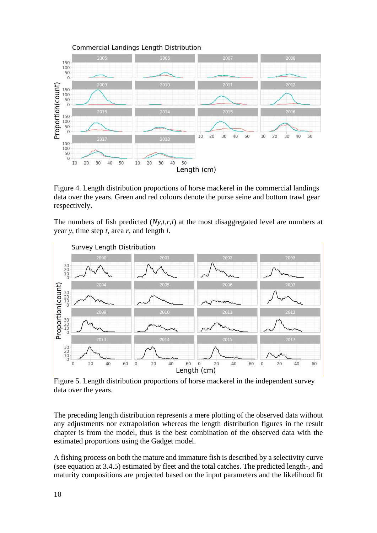

Figure 4. Length distribution proportions of horse mackerel in the commercial landings data over the years. Green and red colours denote the purse seine and bottom trawl gear respectively.

The numbers of fish predicted (*Ny,t,r,l*) at the most disaggregated level are numbers at year *y*, time step *t*, area *r*, and length *l*.



Figure 5. Length distribution proportions of horse mackerel in the independent survey data over the years.

The preceding length distribution represents a mere plotting of the observed data without any adjustments nor extrapolation whereas the length distribution figures in the result chapter is from the model, thus is the best combination of the observed data with the estimated proportions using the Gadget model.

A fishing process on both the mature and immature fish is described by a selectivity curve (see equation at 3.4.5) estimated by fleet and the total catches. The predicted length-, and maturity compositions are projected based on the input parameters and the likelihood fit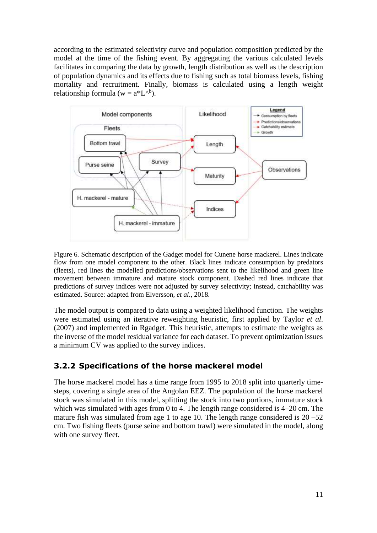according to the estimated selectivity curve and population composition predicted by the model at the time of the fishing event. By aggregating the various calculated levels facilitates in comparing the data by growth, length distribution as well as the description of population dynamics and its effects due to fishing such as total biomass levels, fishing mortality and recruitment. Finally, biomass is calculated using a length weight relationship formula ( $w = a^*L^{\wedge b}$ ).



Figure 6*.* Schematic description of the Gadget model for Cunene horse mackerel. Lines indicate flow from one model component to the other. Black lines indicate consumption by predators (fleets), red lines the modelled predictions/observations sent to the likelihood and green line movement between immature and mature stock component. Dashed red lines indicate that predictions of survey indices were not adjusted by survey selectivity; instead, catchability was estimated. Source: adapted from Elversson, *et al*., 2018.

The model output is compared to data using a weighted likelihood function. The weights were estimated using an iterative reweighting heuristic, first applied by Taylor *et al*. (2007) and implemented in Rgadget. This heuristic, attempts to estimate the weights as the inverse of the model residual variance for each dataset. To prevent optimization issues a minimum CV was applied to the survey indices.

#### <span id="page-30-0"></span>**3.2.2 Specifications of the horse mackerel model**

The horse mackerel model has a time range from 1995 to 2018 split into quarterly timesteps, covering a single area of the Angolan EEZ. The population of the horse mackerel stock was simulated in this model, splitting the stock into two portions, immature stock which was simulated with ages from 0 to 4. The length range considered is 4–20 cm. The mature fish was simulated from age 1 to age 10. The length range considered is  $20 - 52$ cm. Two fishing fleets (purse seine and bottom trawl) were simulated in the model, along with one survey fleet.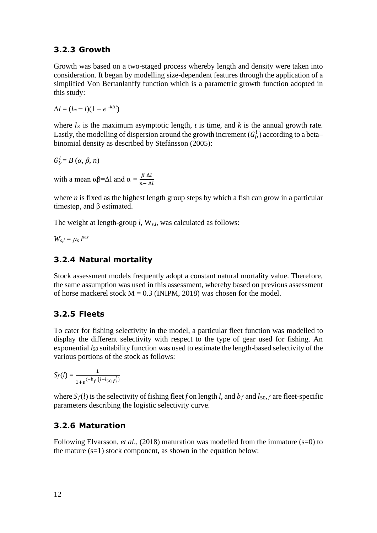#### <span id="page-31-0"></span>**3.2.3 Growth**

Growth was based on a two-staged process whereby length and density were taken into consideration. It began by modelling size-dependent features through the application of a simplified Von Bertanlanffy function which is a parametric growth function adopted in this study:

 $\Delta l = (l_{\infty} - l)(1 - e^{-k\Delta t})$ 

where  $l_{\infty}$  is the maximum asymptotic length, *t* is time, and *k* is the annual growth rate. Lastly, the modelling of dispersion around the growth increment  $(G_{l'}^l)$  according to a beta– binomial density as described by Stefánsson (2005):

$$
G_{l'}^l = B\left(\alpha, \beta, n\right)
$$

with a mean  $\alpha\beta = \Delta l$  and  $\alpha = \frac{\beta \Delta l}{n \Delta l}$  $n-\Delta l$ 

where *n* is fixed as the highest length group steps by which a fish can grow in a particular timestep, and β estimated.

The weight at length-group *l*, W<sub>s,*l*</sub>, was calculated as follows:

 $W_{s,l} = \mu_s l^{\omega s}$ 

#### <span id="page-31-1"></span>**3.2.4 Natural mortality**

Stock assessment models frequently adopt a constant natural mortality value. Therefore, the same assumption was used in this assessment, whereby based on previous assessment of horse mackerel stock  $M = 0.3$  (INIPM, 2018) was chosen for the model.

#### <span id="page-31-2"></span>**3.2.5 Fleets**

To cater for fishing selectivity in the model, a particular fleet function was modelled to display the different selectivity with respect to the type of gear used for fishing. An exponential *l<sup>50</sup>* suitability function was used to estimate the length-based selectivity of the various portions of the stock as follows:

 $S_f(l) = \frac{1}{(l+1)^2}$  $1+e^{(-b_f (l-l_{50,f}))}$ 

where  $S_f(l)$  is the selectivity of fishing fleet *f* on length *l*, and  $b_f$  and  $l_{50,f}$  are fleet-specific parameters describing the logistic selectivity curve.

#### <span id="page-31-3"></span>**3.2.6 Maturation**

Following Elvarsson, *et al.*, (2018) maturation was modelled from the immature (s=0) to the mature  $(s=1)$  stock component, as shown in the equation below: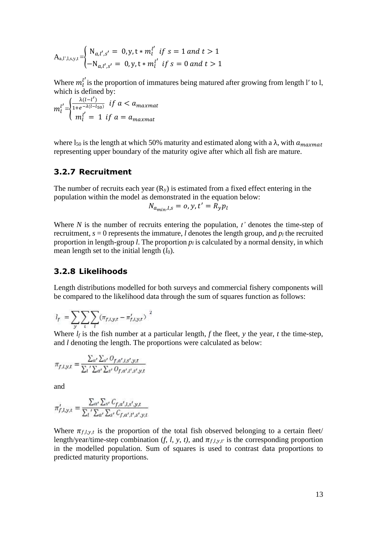$$
A_{a,l',l,s,y,t} = \begin{cases} N_{a,l',s'} = 0, y, t * m_l^{l'} \text{ if } s = 1 \text{ and } t > 1\\ -N_{a,l',s'} = 0, y, t * m_l^{l'} \text{ if } s = 0 \text{ and } t > 1 \end{cases}
$$

Where  $m_l^{l'}$  is the proportion of immatures being matured after growing from length l' to l, which is defined by:

$$
m_l^{l'} = \begin{cases} \frac{\lambda(l - l')}{1 + e^{-\lambda(l - l_{50})}} & \text{if } a < a_{maxmat} \\ m_l^{l'} = 1 & \text{if } a = a_{maxmat} \end{cases}
$$

where  $l_{50}$  is the length at which 50% maturity and estimated along with a  $\lambda$ , with  $a_{maxmat}$ representing upper boundary of the maturity ogive after which all fish are mature.

#### <span id="page-32-0"></span>**3.2.7 Recruitment**

The number of recruits each year  $(R_v)$  is estimated from a fixed effect entering in the population within the model as demonstrated in the equation below:

$$
N_{a_{min},l,s} = o, y, t' = R_y p_l
$$

Where *N* is the number of recruits entering the population, *t'* denotes the time-step of recruitment,  $s = 0$  represents the immature, *l* denotes the length group, and  $p_l$  the recruited proportion in length-group *l*. The proportion  $p_l$  is calculated by a normal density, in which mean length set to the initial length  $(l_0)$ .

#### <span id="page-32-1"></span>**3.2.8 Likelihoods**

Length distributions modelled for both surveys and commercial fishery components will be compared to the likelihood data through the sum of squares function as follows:

$$
l_f \ = \sum_y \sum_t \sum_l (\pi_{f,l,y,t} - \pi_{f,l,y,t}')^2
$$

Where  $l_f$  is the fish number at a particular length,  $f$  the fleet,  $y$  the year,  $t$  the time-step, and *l* denoting the length. The proportions were calculated as below:

$$
\pi_{f,l,y,t} = \frac{\sum_{a'} \sum_{s'} O_{f,a',l,s',y,t}}{\sum_{l} \sum_{a'} \sum_{s'} O_{f,a',l',s',y,t}}
$$

and

$$
\pi'_{f,l,y,t} = \frac{\sum_{a'} \sum_{s'} C_{f,a',l,s',y,t}}{\sum_{l} \sum_{a'} \sum_{s'} C_{f,a',l',s',y,t}}
$$

Where  $\pi_{f,l,y,t}$  is the proportion of the total fish observed belonging to a certain fleet/ length/year/time-step combination  $(f, l, y, t)$ , and  $\pi_{f,l,y,t'}$  is the corresponding proportion in the modelled population. Sum of squares is used to contrast data proportions to predicted maturity proportions.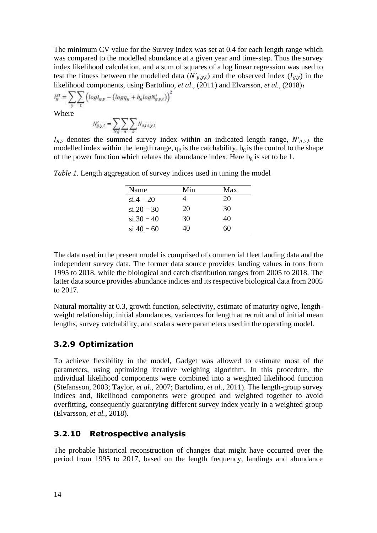The minimum CV value for the Survey index was set at 0.4 for each length range which was compared to the modelled abundance at a given year and time-step. Thus the survey index likelihood calculation, and a sum of squares of a log linear regression was used to test the fitness between the modelled data  $(N'_{g,y,t})$  and the observed index  $(I_{g,y})$  in the likelihood components, using Bartolino, *et al*., (2011) and Elvarsson, *et al.*, (2018):

$$
l_g^{SI} = \sum_{y} \sum_{t} \left( log l_{g,y} - (log q_g + b_g log N'_{g,y,t}) \right)
$$
  
Where

Where

$$
N'_{g,y,t} = \sum_{l \in g} \sum_{\alpha} \sum_{s} N_{a,l,s,y,t}
$$

 $I_{g,y}$  denotes the summed survey index within an indicated length range,  $N'_{g,y,t}$  the modelled index within the length range,  $q_g$  is the catchability,  $b_g$  is the control to the shape of the power function which relates the abundance index. Here  $b_g$  is set to be 1.

| Name           | Min | Max |
|----------------|-----|-----|
| $si.4 - 20$    |     | 20  |
| $\sin 20 - 30$ | 20  | 30  |
| $si.30 - 40$   | 30  | 40  |
| $si.40 - 60$   | 40  | 60  |

*Table 1.* Length aggregation of survey indices used in tuning the model

The data used in the present model is comprised of commercial fleet landing data and the independent survey data. The former data source provides landing values in tons from 1995 to 2018, while the biological and catch distribution ranges from 2005 to 2018. The latter data source provides abundance indices and its respective biological data from 2005 to 2017.

Natural mortality at 0.3, growth function, selectivity, estimate of maturity ogive, lengthweight relationship, initial abundances, variances for length at recruit and of initial mean lengths, survey catchability, and scalars were parameters used in the operating model.

#### <span id="page-33-0"></span>**3.2.9 Optimization**

To achieve flexibility in the model, Gadget was allowed to estimate most of the parameters, using optimizing iterative weighing algorithm. In this procedure, the individual likelihood components were combined into a weighted likelihood function (Stefansson, 2003; Taylor, *et al.*, 2007; Bartolino, *et al*., 2011). The length-group survey indices and, likelihood components were grouped and weighted together to avoid overfitting, consequently guarantying different survey index yearly in a weighted group (Elvarsson, *et al.*, 2018).

#### <span id="page-33-1"></span>**3.2.10 Retrospective analysis**

The probable historical reconstruction of changes that might have occurred over the period from 1995 to 2017, based on the length frequency, landings and abundance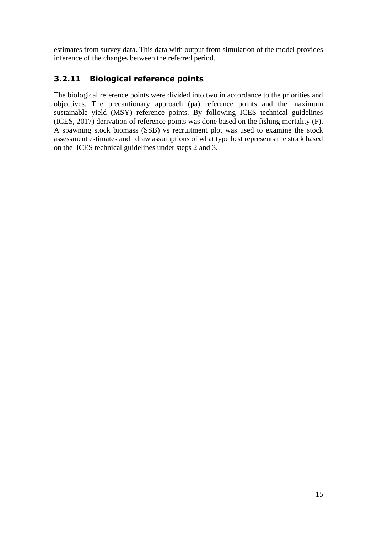estimates from survey data. This data with output from simulation of the model provides inference of the changes between the referred period.

### <span id="page-34-0"></span>**3.2.11 Biological reference points**

The biological reference points were divided into two in accordance to the priorities and objectives. The precautionary approach (pa) reference points and the maximum sustainable yield (MSY) reference points. By following ICES technical guidelines (ICES, 2017) derivation of reference points was done based on the fishing mortality (F). A spawning stock biomass (SSB) vs recruitment plot was used to examine the stock assessment estimates and draw assumptions of what type best represents the stock based on the ICES technical guidelines under steps 2 and 3.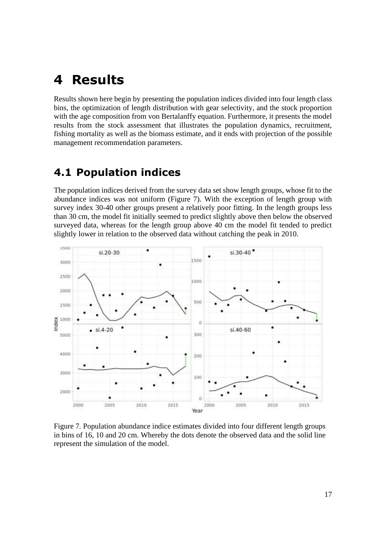## <span id="page-36-0"></span>**4 Results**

Results shown here begin by presenting the population indices divided into four length class bins, the optimization of length distribution with gear selectivity, and the stock proportion with the age composition from von Bertalanffy equation. Furthermore, it presents the model results from the stock assessment that illustrates the population dynamics, recruitment, fishing mortality as well as the biomass estimate, and it ends with projection of the possible management recommendation parameters.

### <span id="page-36-1"></span>**4.1 Population indices**

The population indices derived from the survey data set show length groups, whose fit to the abundance indices was not uniform (Figure 7). With the exception of length group with survey index 30-40 other groups present a relatively poor fitting. In the length groups less than 30 cm, the model fit initially seemed to predict slightly above then below the observed surveyed data, whereas for the length group above 40 cm the model fit tended to predict slightly lower in relation to the observed data without catching the peak in 2010.



Figure 7*.* Population abundance indice estimates divided into four different length groups in bins of 16, 10 and 20 cm. Whereby the dots denote the observed data and the solid line represent the simulation of the model.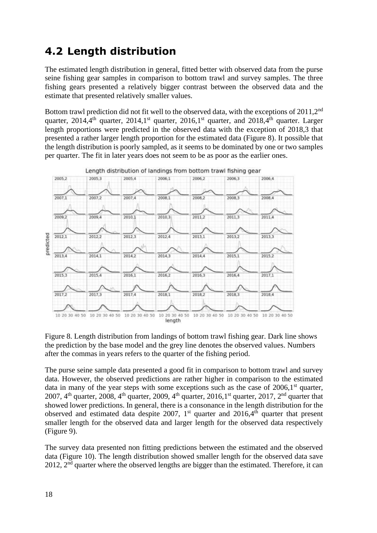## <span id="page-37-0"></span>**4.2 Length distribution**

The estimated length distribution in general, fitted better with observed data from the purse seine fishing gear samples in comparison to bottom trawl and survey samples. The three fishing gears presented a relatively bigger contrast between the observed data and the estimate that presented relatively smaller values.

Bottom trawl prediction did not fit well to the observed data, with the exceptions of 2011,2<sup>nd</sup> quarter, 2014,4<sup>th</sup> quarter, 2014,1<sup>st</sup> quarter, 2016,1<sup>st</sup> quarter, and 2018,4<sup>th</sup> quarter. Larger length proportions were predicted in the observed data with the exception of 2018,3 that presented a rather larger length proportion for the estimated data (Figure 8). It possible that the length distribution is poorly sampled, as it seems to be dominated by one or two samples per quarter. The fit in later years does not seem to be as poor as the earlier ones.



Figure 8. Length distribution from landings of bottom trawl fishing gear. Dark line shows the prediction by the base model and the grey line denotes the observed values. Numbers after the commas in years refers to the quarter of the fishing period.

The purse seine sample data presented a good fit in comparison to bottom trawl and survey data. However, the observed predictions are rather higher in comparison to the estimated data in many of the year steps with some exceptions such as the case of  $2006,1$ <sup>st</sup> quarter, 2007, 4<sup>th</sup> quarter, 2008, 4<sup>th</sup> quarter, 2009, 4<sup>th</sup> quarter, 2016,1<sup>st</sup> quarter, 2017, 2<sup>nd</sup> quarter that showed lower predictions. In general, there is a consonance in the length distribution for the observed and estimated data despite 2007,  $1<sup>st</sup>$  quarter and 2016,4<sup>th</sup> quarter that present smaller length for the observed data and larger length for the observed data respectively (Figure 9).

The survey data presented non fitting predictions between the estimated and the observed data (Figure 10). The length distribution showed smaller length for the observed data save 2012,  $2<sup>nd</sup>$  quarter where the observed lengths are bigger than the estimated. Therefore, it can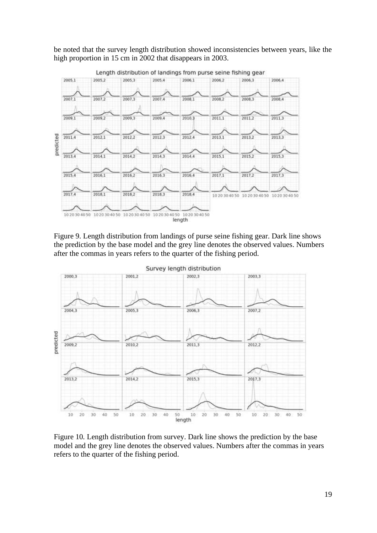be noted that the survey length distribution showed inconsistencies between years, like the high proportion in 15 cm in 2002 that disappears in 2003.



Figure 9. Length distribution from landings of purse seine fishing gear. Dark line shows the prediction by the base model and the grey line denotes the observed values. Numbers after the commas in years refers to the quarter of the fishing period.



Figure 10*.* Length distribution from survey. Dark line shows the prediction by the base model and the grey line denotes the observed values. Numbers after the commas in years refers to the quarter of the fishing period.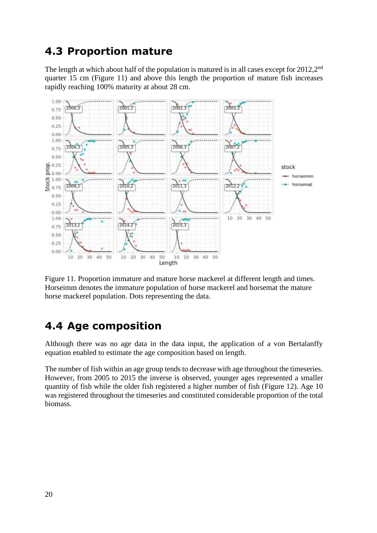### <span id="page-39-0"></span>**4.3 Proportion mature**

The length at which about half of the population is matured is in all cases except for 2012,2<sup>nd</sup> quarter 15 cm (Figure 11) and above this length the proportion of mature fish increases rapidly reaching 100% maturity at about 28 cm.



Figure 11. Proportion immature and mature horse mackerel at different length and times. Horseimm denotes the immature population of horse mackerel and horsemat the mature horse mackerel population. Dots representing the data.

### <span id="page-39-1"></span>**4.4 Age composition**

Although there was no age data in the data input, the application of a von Bertalanffy equation enabled to estimate the age composition based on length.

The number of fish within an age group tends to decrease with age throughout the timeseries. However, from 2005 to 2015 the inverse is observed, younger ages represented a smaller quantity of fish while the older fish registered a higher number of fish (Figure 12). Age 10 was registered throughout the timeseries and constituted considerable proportion of the total biomass.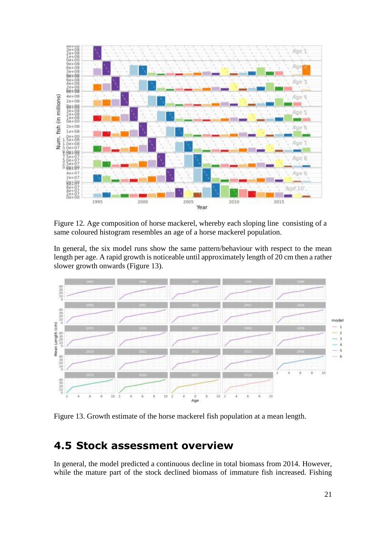

Figure 12*.* Age composition of horse mackerel, whereby each sloping line consisting of a same coloured histogram resembles an age of a horse mackerel population.

In general, the six model runs show the same pattern/behaviour with respect to the mean length per age. A rapid growth is noticeable until approximately length of 20 cm then a rather slower growth onwards (Figure 13).



Figure 13. Growth estimate of the horse mackerel fish population at a mean length.

### <span id="page-40-0"></span>**4.5 Stock assessment overview**

In general, the model predicted a continuous decline in total biomass from 2014. However, while the mature part of the stock declined biomass of immature fish increased. Fishing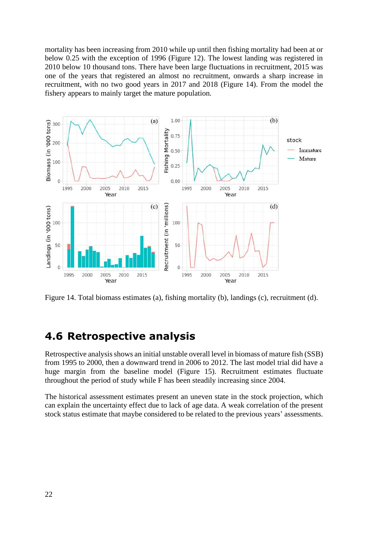mortality has been increasing from 2010 while up until then fishing mortality had been at or below 0.25 with the exception of 1996 (Figure 12). The lowest landing was registered in 2010 below 10 thousand tons. There have been large fluctuations in recruitment, 2015 was one of the years that registered an almost no recruitment, onwards a sharp increase in recruitment, with no two good years in 2017 and 2018 (Figure 14). From the model the fishery appears to mainly target the mature population.



Figure 14. Total biomass estimates (a), fishing mortality (b), landings (c), recruitment (d).

### <span id="page-41-0"></span>**4.6 Retrospective analysis**

Retrospective analysis shows an initial unstable overall level in biomass of mature fish (SSB) from 1995 to 2000, then a downward trend in 2006 to 2012. The last model trial did have a huge margin from the baseline model (Figure 15). Recruitment estimates fluctuate throughout the period of study while F has been steadily increasing since 2004.

The historical assessment estimates present an uneven state in the stock projection, which can explain the uncertainty effect due to lack of age data. A weak correlation of the present stock status estimate that maybe considered to be related to the previous years' assessments.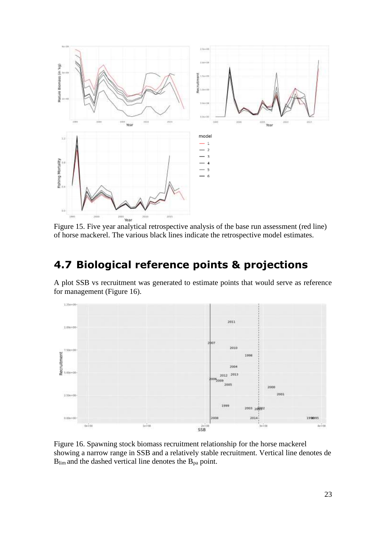

of horse mackerel. The various black lines indicate the retrospective model estimates.

## <span id="page-42-0"></span>**4.7 Biological reference points & projections**

A plot SSB vs recruitment was generated to estimate points that would serve as reference for management (Figure 16).



Figure 16. Spawning stock biomass recruitment relationship for the horse mackerel showing a narrow range in SSB and a relatively stable recruitment. Vertical line denotes de  $B_{\text{lim}}$  and the dashed vertical line denotes the  $B_{\text{pa}}$  point.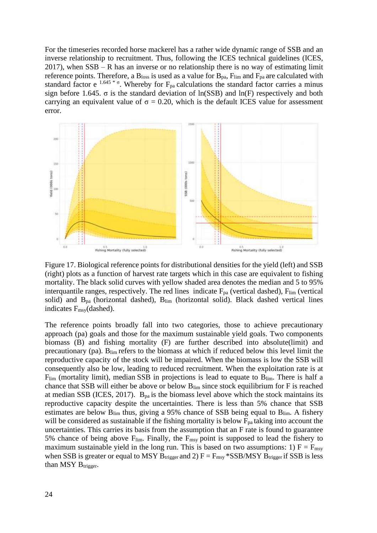For the timeseries recorded horse mackerel has a rather wide dynamic range of SSB and an inverse relationship to recruitment. Thus, following the ICES technical guidelines (ICES, 2017), when SSB – R has an inverse or no relationship there is no way of estimating limit reference points. Therefore, a  $B<sub>loss</sub>$  is used as a value for  $B<sub>pa</sub>$ ,  $F<sub>lim</sub>$  and  $F<sub>pa</sub>$  are calculated with standard factor e <sup>1.645 \*</sup> <sup>σ</sup>. Whereby for  $F_{pa}$  calculations the standard factor carries a minus sign before 1.645.  $\sigma$  is the standard deviation of  $\ln(SSB)$  and  $\ln(F)$  respectively and both carrying an equivalent value of  $\sigma = 0.20$ , which is the default ICES value for assessment error.



Figure 17. Biological reference points for distributional densities for the yield (left) and SSB (right) plots as a function of harvest rate targets which in this case are equivalent to fishing mortality. The black solid curves with yellow shaded area denotes the median and 5 to 95% interquantile ranges, respectively. The red lines indicate  $F_{pa}$  (vertical dashed),  $F_{lim}$  (vertical solid) and  $B_{pa}$  (horizontal dashed),  $B_{lim}$  (horizontal solid). Black dashed vertical lines indicates Fmsy(dashed).

The reference points broadly fall into two categories, those to achieve precautionary approach (pa) goals and those for the maximum sustainable yield goals. Two components biomass (B) and fishing mortality (F) are further described into absolute(limit) and precautionary (pa). Blim refers to the biomass at which if reduced below this level limit the reproductive capacity of the stock will be impaired. When the biomass is low the SSB will consequently also be low, leading to reduced recruitment. When the exploitation rate is at  $F_{\text{lim}}$  (mortality limit), median SSB in projections is lead to equate to  $B_{\text{lim}}$ . There is half a chance that SSB will either be above or below Blim since stock equilibrium for F is reached at median SSB (ICES, 2017).  $B_{pa}$  is the biomass level above which the stock maintains its reproductive capacity despite the uncertainties. There is less than 5% chance that SSB estimates are below  $B_{lim}$  thus, giving a 95% chance of SSB being equal to  $B_{lim}$ . A fishery will be considered as sustainable if the fishing mortality is below  $F_{pa}$  taking into account the uncertainties. This carries its basis from the assumption that an F rate is found to guarantee 5% chance of being above  $F_{\text{lim}}$ . Finally, the  $F_{\text{msg}}$  point is supposed to lead the fishery to maximum sustainable yield in the long run. This is based on two assumptions: 1)  $F = F_{\text{msy}}$ when SSB is greater or equal to MSY B<sub>trigger</sub> and 2)  $F = F_{\text{msy}}$  \*SSB/MSY B<sub>trigger</sub> if SSB is less than MSY  $B_{trigger}$ .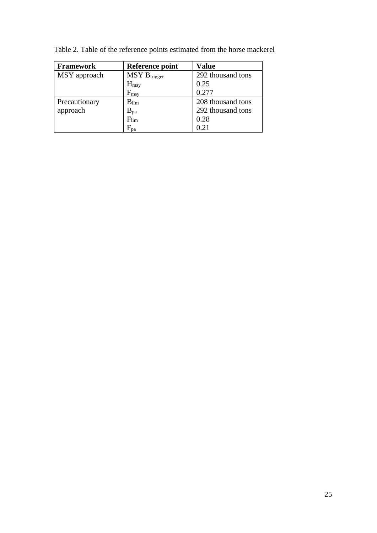| <b>Framework</b> | Reference point            | <b>Value</b>      |
|------------------|----------------------------|-------------------|
| MSY approach     | $MSY B_{trigger}$          | 292 thousand tons |
|                  | $H_{\rm msy}$              | 0.25              |
|                  | $F_{msy}$                  | 0.277             |
| Precautionary    | $B_{\text{lim}}$           | 208 thousand tons |
| approach         | $B_{pa}$                   | 292 thousand tons |
|                  | $F_{lim}$                  | 0.28              |
|                  | $\mathrm{F}_{\mathrm{pa}}$ | 0.21              |

Table 2. Table of the reference points estimated from the horse mackerel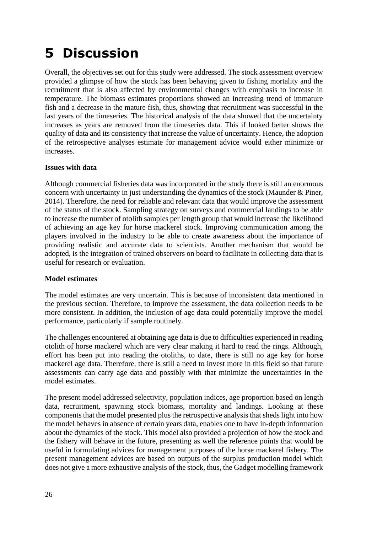# <span id="page-45-0"></span>**5 Discussion**

Overall, the objectives set out for this study were addressed. The stock assessment overview provided a glimpse of how the stock has been behaving given to fishing mortality and the recruitment that is also affected by environmental changes with emphasis to increase in temperature. The biomass estimates proportions showed an increasing trend of immature fish and a decrease in the mature fish, thus, showing that recruitment was successful in the last years of the timeseries. The historical analysis of the data showed that the uncertainty increases as years are removed from the timeseries data. This if looked better shows the quality of data and its consistency that increase the value of uncertainty. Hence, the adoption of the retrospective analyses estimate for management advice would either minimize or increases.

#### **Issues with data**

Although commercial fisheries data was incorporated in the study there is still an enormous concern with uncertainty in just understanding the dynamics of the stock (Maunder & Piner, 2014). Therefore, the need for reliable and relevant data that would improve the assessment of the status of the stock. Sampling strategy on surveys and commercial landings to be able to increase the number of otolith samples per length group that would increase the likelihood of achieving an age key for horse mackerel stock. Improving communication among the players involved in the industry to be able to create awareness about the importance of providing realistic and accurate data to scientists. Another mechanism that would be adopted, is the integration of trained observers on board to facilitate in collecting data that is useful for research or evaluation.

#### **Model estimates**

The model estimates are very uncertain. This is because of inconsistent data mentioned in the previous section. Therefore, to improve the assessment, the data collection needs to be more consistent. In addition, the inclusion of age data could potentially improve the model performance, particularly if sample routinely.

The challenges encountered at obtaining age data is due to difficulties experienced in reading otolith of horse mackerel which are very clear making it hard to read the rings. Although, effort has been put into reading the otoliths, to date, there is still no age key for horse mackerel age data. Therefore, there is still a need to invest more in this field so that future assessments can carry age data and possibly with that minimize the uncertainties in the model estimates.

The present model addressed selectivity, population indices, age proportion based on length data, recruitment, spawning stock biomass, mortality and landings. Looking at these components that the model presented plus the retrospective analysis that sheds light into how the model behaves in absence of certain years data, enables one to have in-depth information about the dynamics of the stock. This model also provided a projection of how the stock and the fishery will behave in the future, presenting as well the reference points that would be useful in formulating advices for management purposes of the horse mackerel fishery. The present management advices are based on outputs of the surplus production model which does not give a more exhaustive analysis of the stock, thus, the Gadget modelling framework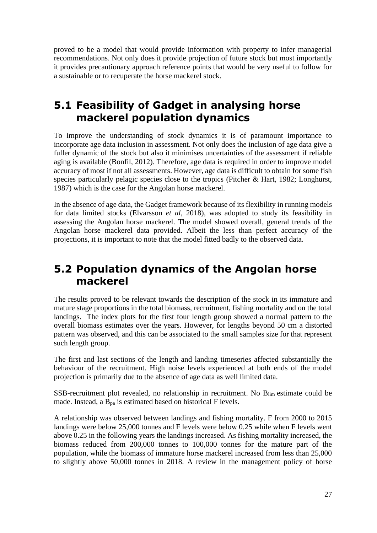proved to be a model that would provide information with property to infer managerial recommendations. Not only does it provide projection of future stock but most importantly it provides precautionary approach reference points that would be very useful to follow for a sustainable or to recuperate the horse mackerel stock.

### <span id="page-46-0"></span>**5.1 Feasibility of Gadget in analysing horse mackerel population dynamics**

To improve the understanding of stock dynamics it is of paramount importance to incorporate age data inclusion in assessment. Not only does the inclusion of age data give a fuller dynamic of the stock but also it minimises uncertainties of the assessment if reliable aging is available (Bonfil, 2012). Therefore, age data is required in order to improve model accuracy of most if not all assessments. However, age data is difficult to obtain for some fish species particularly pelagic species close to the tropics (Pitcher & Hart, 1982; Longhurst, 1987) which is the case for the Angolan horse mackerel.

In the absence of age data, the Gadget framework because of its flexibility in running models for data limited stocks (Elvarsson *et al*, 2018), was adopted to study its feasibility in assessing the Angolan horse mackerel. The model showed overall, general trends of the Angolan horse mackerel data provided. Albeit the less than perfect accuracy of the projections, it is important to note that the model fitted badly to the observed data.

### <span id="page-46-1"></span>**5.2 Population dynamics of the Angolan horse mackerel**

The results proved to be relevant towards the description of the stock in its immature and mature stage proportions in the total biomass, recruitment, fishing mortality and on the total landings. The index plots for the first four length group showed a normal pattern to the overall biomass estimates over the years. However, for lengths beyond 50 cm a distorted pattern was observed, and this can be associated to the small samples size for that represent such length group.

The first and last sections of the length and landing timeseries affected substantially the behaviour of the recruitment. High noise levels experienced at both ends of the model projection is primarily due to the absence of age data as well limited data.

SSB-recruitment plot revealed, no relationship in recruitment. No Blim estimate could be made. Instead, a  $B_{pa}$  is estimated based on historical F levels.

A relationship was observed between landings and fishing mortality. F from 2000 to 2015 landings were below 25,000 tonnes and F levels were below 0.25 while when F levels went above 0.25 in the following years the landings increased. As fishing mortality increased, the biomass reduced from 200,000 tonnes to 100,000 tonnes for the mature part of the population, while the biomass of immature horse mackerel increased from less than 25,000 to slightly above 50,000 tonnes in 2018. A review in the management policy of horse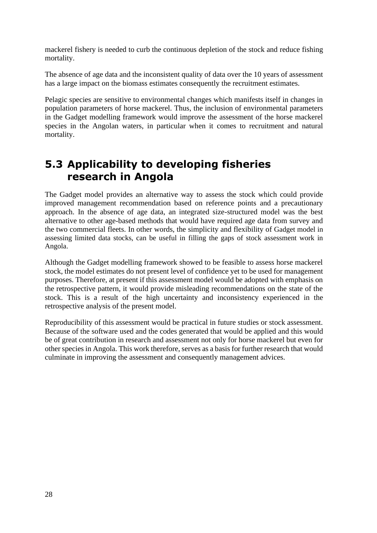mackerel fishery is needed to curb the continuous depletion of the stock and reduce fishing mortality.

The absence of age data and the inconsistent quality of data over the 10 years of assessment has a large impact on the biomass estimates consequently the recruitment estimates.

Pelagic species are sensitive to environmental changes which manifests itself in changes in population parameters of horse mackerel. Thus, the inclusion of environmental parameters in the Gadget modelling framework would improve the assessment of the horse mackerel species in the Angolan waters, in particular when it comes to recruitment and natural mortality.

## <span id="page-47-0"></span>**5.3 Applicability to developing fisheries research in Angola**

The Gadget model provides an alternative way to assess the stock which could provide improved management recommendation based on reference points and a precautionary approach. In the absence of age data, an integrated size-structured model was the best alternative to other age-based methods that would have required age data from survey and the two commercial fleets. In other words, the simplicity and flexibility of Gadget model in assessing limited data stocks, can be useful in filling the gaps of stock assessment work in Angola.

Although the Gadget modelling framework showed to be feasible to assess horse mackerel stock, the model estimates do not present level of confidence yet to be used for management purposes. Therefore, at present if this assessment model would be adopted with emphasis on the retrospective pattern, it would provide misleading recommendations on the state of the stock. This is a result of the high uncertainty and inconsistency experienced in the retrospective analysis of the present model.

Reproducibility of this assessment would be practical in future studies or stock assessment. Because of the software used and the codes generated that would be applied and this would be of great contribution in research and assessment not only for horse mackerel but even for other species in Angola. This work therefore, serves as a basis for further research that would culminate in improving the assessment and consequently management advices.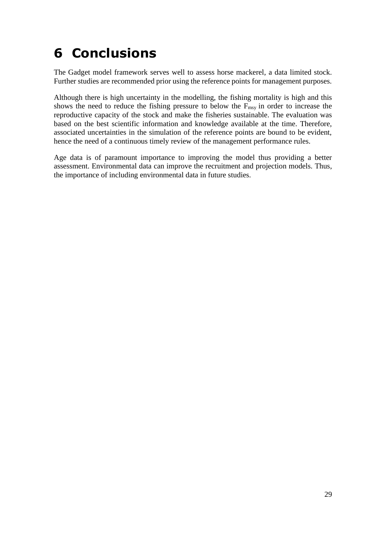# <span id="page-48-0"></span>**6 Conclusions**

The Gadget model framework serves well to assess horse mackerel, a data limited stock. Further studies are recommended prior using the reference points for management purposes.

Although there is high uncertainty in the modelling, the fishing mortality is high and this shows the need to reduce the fishing pressure to below the  $F_{\text{msy}}$  in order to increase the reproductive capacity of the stock and make the fisheries sustainable. The evaluation was based on the best scientific information and knowledge available at the time. Therefore, associated uncertainties in the simulation of the reference points are bound to be evident, hence the need of a continuous timely review of the management performance rules.

Age data is of paramount importance to improving the model thus providing a better assessment. Environmental data can improve the recruitment and projection models. Thus, the importance of including environmental data in future studies.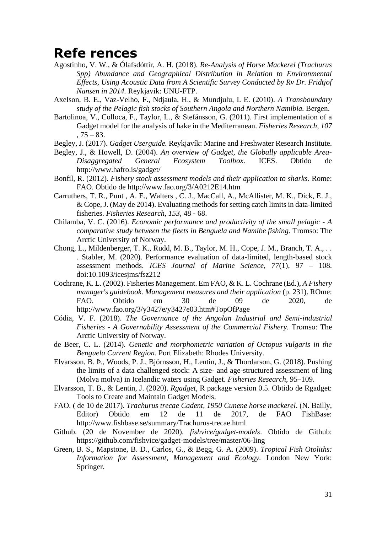## <span id="page-50-0"></span>**Refe rences**

- Agostinho, V. W., & Ólafsdóttir, A. H. (2018). *Re-Analysis of Horse Mackerel (Trachurus Spp) Abundance and Geographical Distribution in Relation to Environmental Effects, Using Acoustic Data from A Scientific Survey Conducted by Rv Dr. Fridtjof Nansen in 2014.* Reykjavik: UNU-FTP.
- Axelson, B. E., Vaz-Velho, F., Ndjaula, H., & Mundjulu, I. E. (2010). *A Transboundary study of the Pelagic fish stocks of Southern Angola and Northern Namibia.* Bergen.
- Bartolinoa, V., Colloca, F., Taylor, L., & Stefánsson, G. (2011). First implementation of a Gadget model for the analysis of hake in the Mediterranean. *Fisheries Research, 107*   $, 75 - 83.$
- Begley, J. (2017). *Gadget Userguide.* Reykjavík: Marine and Freshwater Research Institute.
- Begley, J., & Howell, D. (2004). *An overview of Gadget, the Globally applicable Area-Disaggregated General Ecosystem Toolbox.* ICES. Obtido de http://www.hafro.is/gadget/
- Bonfil, R. (2012). *Fishery stock assessment models and their application to sharks.* Rome: FAO. Obtido de http://www.fao.org/3/A0212E14.htm
- Carruthers, T. R., Punt , A. E., Walters , C. J., MacCall, A., McAllister, M. K., Dick, E. J., & Cope, J. (May de 2014). Evaluating methods for setting catch limits in data-limited fisheries. *Fisheries Research, 153*, 48 - 68.
- Chilamba, V. C. (2016). *Economic performance and productivity of the small pelagic - A comparative study between the fleets in Benguela and Namibe fishing.* Tromso: The Arctic University of Norway.
- Chong, L., Mildenberger, T. K., Rudd, M. B., Taylor, M. H., Cope, J. M., Branch, T. A., . . . Stabler, M. (2020). Performance evaluation of data-limited, length-based stock assessment methods. *ICES Journal of Marine Science, 77*(1), 97 – 108. doi:10.1093/icesjms/fsz212
- Cochrane, K. L. (2002). Fisheries Management. Em FAO, & K. L. Cochrane (Ed.), *A Fishery manager's guidebook. Management measures and their application* (p. 231). ROme: FAO. Obtido em 30 de 09 de 2020, de http://www.fao.org/3/y3427e/y3427e03.htm#TopOfPage
- Códia, V. F. (2018). *The Governance of the Angolan Industrial and Semi-industrial Fisheries - A Governability Assessment of the Commercial Fishery.* Tromso: The Arctic University of Norway.
- de Beer, C. L. (2014). *Genetic and morphometric variation of Octopus vulgaris in the Benguela Current Region.* Port Elizabeth: Rhodes University.
- Elvarsson, B. Þ., Woods, P. J., Björnsson, H., Lentin, J., & Thordarson, G. (2018). Pushing the limits of a data challenged stock: A size- and age-structured assessment of ling (Molva molva) in Icelandic waters using Gadget. *Fisheries Research*, 95–109.
- Elvarsson, T. B., & Lentin, J. (2020). *Rgadget*, R package version 0.5. Obtido de Rgadget: Tools to Create and Maintain Gadget Models.
- FAO. ( de 10 de 2017). *Trachurus trecae Cadent, 1950 Cunene horse mackerel*. (N. Bailly, Editor) Obtido em 12 de 11 de 2017, de FAO FishBase: http://www.fishbase.se/summary/Trachurus-trecae.html
- Github. (20 de November de 2020). *fishvice/gadget-models*. Obtido de Github: https://github.com/fishvice/gadget-models/tree/master/06-ling
- Green, B. S., Mapstone, B. D., Carlos, G., & Begg, G. A. (2009). *Tropical Fish Otoliths: Information for Assessment, Management and Ecology.* London New York: Springer.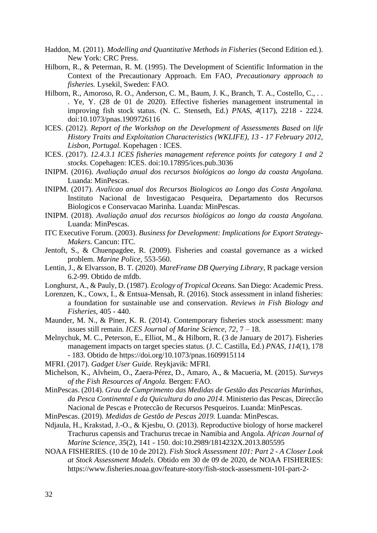- Haddon, M. (2011). *Modelling and Quantitative Methods in Fisheries* (Second Edition ed.). New York: CRC Press.
- Hilborn, R., & Peterman, R. M. (1995). The Development of Scientific Information in the Context of the Precautionary Approach. Em FAO, *Precautionary approach to fisheries.* Lysekil, Sweden: FAO.
- Hilborn, R., Amoroso, R. O., Anderson, C. M., Baum, J. K., Branch, T. A., Costello, C., . . . Ye, Y. (28 de 01 de 2020). Effective fisheries management instrumental in improving fish stock status. (N. C. Stenseth, Ed.) *PNAS, 4*(117), 2218 - 2224. doi:10.1073/pnas.1909726116
- ICES. (2012). *Report of the Workshop on the Development of Assessments Based on life History Traits and Exploitation Characteristics (WKLIFE), 13 - 17 February 2012, Lisbon, Portugal.* Kopehagen : ICES.
- ICES. (2017). *12.4.3.1 ICES fisheries management reference points for category 1 and 2 stocks.* Copehagen: ICES. doi:10.17895/ices.pub.3036
- INIPM. (2016). *Avaliação anual dos recursos biológicos ao longo da coasta Angolana.* Luanda: MinPescas.
- INIPM. (2017). *Avalicao anual dos Recursos Biologicos ao Longo das Costa Angolana.* Instituto Nacional de Investigacao Pesqueira, Departamento dos Recursos Biologicos e Conservacao Marinha. Luanda: MinPescas.
- INIPM. (2018). *Avaliação anual dos recursos biológicos ao longo da coasta Angolana.* Luanda: MinPescas.
- ITC Executive Forum. (2003). *Business for Development: Implications for Export Strategy-Makers.* Cancun: ITC.
- Jentoft, S., & Chuenpagdee, R. (2009). Fisheries and coastal governance as a wicked problem. *Marine Police*, 553-560.
- Lentin, J., & Elvarsson, B. T. (2020). *MareFrame DB Querying Library*, R package version 6.2-99. Obtido de mfdb.
- Longhurst, A., & Pauly, D. (1987). *Ecology of Tropical Oceans.* San Diego: Academic Press.
- Lorenzen, K., Cowx, I., & Entsua-Mensah, R. (2016). Stock assessment in inland fisheries: a foundation for sustainable use and conservation. *Reviews in Fish Biology and Fisheries*, 405 - 440.
- Maunder, M. N., & Piner, K. R. (2014). Contemporary fisheries stock assessment: many issues still remain. *ICES Journal of Marine Science, 72*, 7 – 18.
- Melnychuk, M. C., Peterson, E., Elliot, M., & Hilborn, R. (3 de January de 2017). Fisheries management impacts on target species status. (J. C. Castilla, Ed.) *PNAS, 114*(1), 178 - 183. Obtido de https://doi.org/10.1073/pnas.1609915114
- MFRI. (2017). *Gadget User Guide.* Reykjavik: MFRI.
- Michelson, K., Alvheim, O., Zaera-Pérez, D., Amaro, A., & Macueria, M. (2015). *Surveys of the Fish Resources of Angola.* Bergen: FAO.
- MinPescas. (2014). *Grau de Cumprimento das Medidas de Gestão das Pescarias Marinhas, da Pesca Continental e da Quicultura do ano 2014.* Ministerio das Pescas, Direccão Nacional de Pescas e Proteccão de Recursos Pesqueiros. Luanda: MinPescas.
- MinPescas. (2019). *Medidas de Gestão de Pescas 2019.* Luanda: MinPescas.
- Ndjaula, H., Krakstad, J.-O., & Kjesbu, O. (2013). Reproductive biology of horse mackerel Trachurus capensis and Trachurus trecae in Namibia and Angola. *African Journal of Marine Science, 35*(2), 141 - 150. doi:10.2989/1814232X.2013.805595
- NOAA FISHERIES. (10 de 10 de 2012). *Fish Stock Assessment 101: Part 2 - A Closer Look at Stock Assessment Models*. Obtido em 30 de 09 de 2020, de NOAA FISHERIES: https://www.fisheries.noaa.gov/feature-story/fish-stock-assessment-101-part-2-